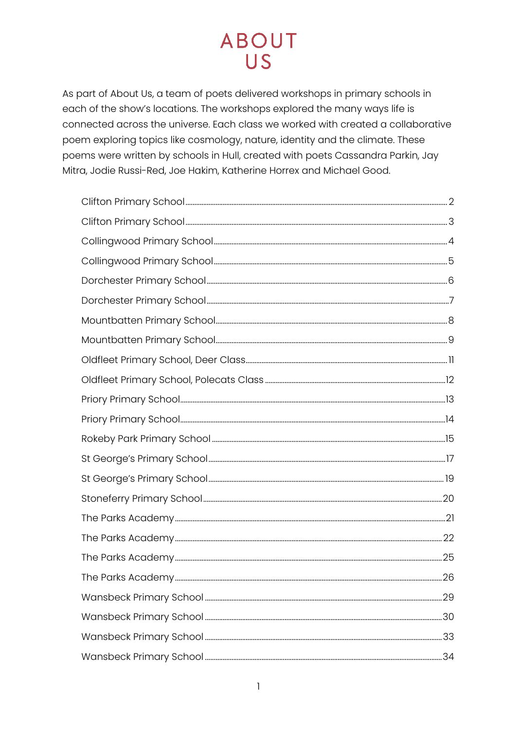As part of About Us, a team of poets delivered workshops in primary schools in each of the show's locations. The workshops explored the many ways life is connected across the universe. Each class we worked with created a collaborative poem exploring topics like cosmology, nature, identity and the climate. These poems were written by schools in Hull, created with poets Cassandra Parkin, Jay Mitra, Jodie Russi-Red, Joe Hakim, Katherine Horrex and Michael Good.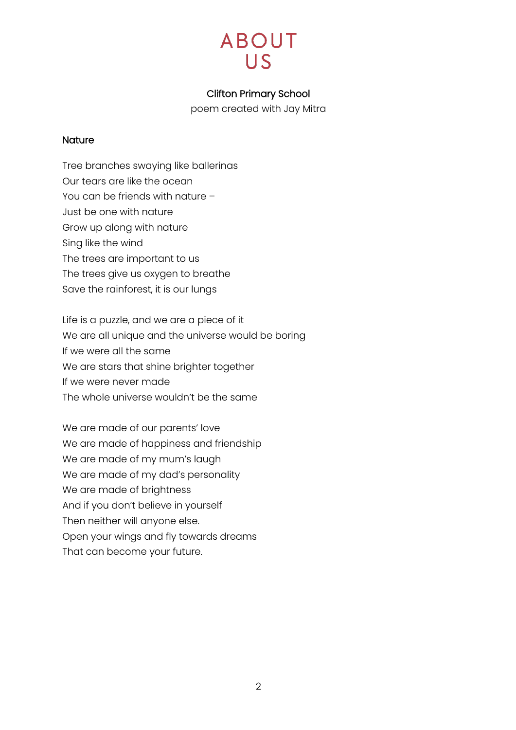

### Clifton Primary School

poem created with Jay Mitra

#### <span id="page-1-0"></span>**Nature**

Tree branches swaying like ballerinas Our tears are like the ocean You can be friends with nature – Just be one with nature Grow up along with nature Sing like the wind The trees are important to us The trees give us oxygen to breathe Save the rainforest, it is our lungs

Life is a puzzle, and we are a piece of it We are all unique and the universe would be boring If we were all the same We are stars that shine brighter together If we were never made The whole universe wouldn't be the same

We are made of our parents' love We are made of happiness and friendship We are made of my mum's laugh We are made of my dad's personality We are made of brightness And if you don't believe in yourself Then neither will anyone else. Open your wings and fly towards dreams That can become your future.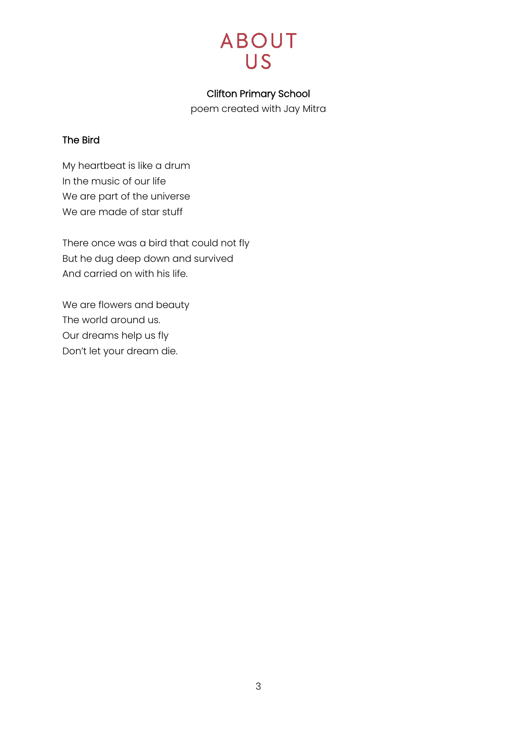

### Clifton Primary School

poem created with Jay Mitra

### <span id="page-2-0"></span>The Bird

My heartbeat is like a drum In the music of our life We are part of the universe We are made of star stuff

There once was a bird that could not fly But he dug deep down and survived And carried on with his life.

We are flowers and beauty The world around us. Our dreams help us fly Don't let your dream die.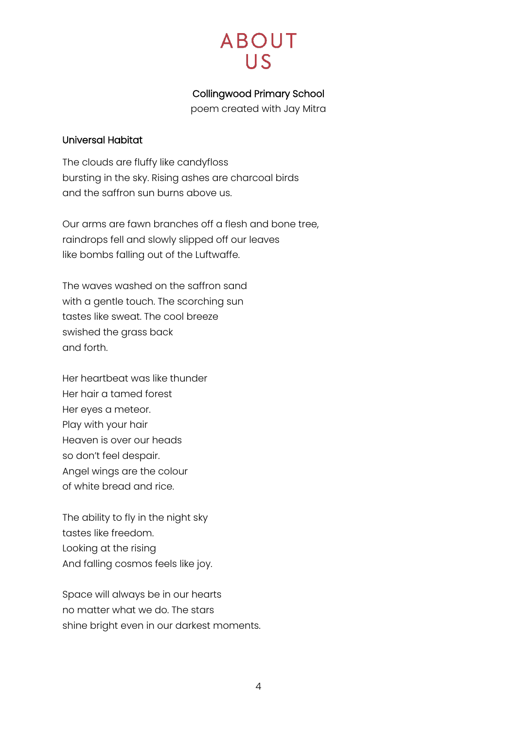## Collingwood Primary School

poem created with Jay Mitra

### <span id="page-3-0"></span>Universal Habitat

The clouds are fluffy like candyfloss bursting in the sky. Rising ashes are charcoal birds and the saffron sun burns above us.

Our arms are fawn branches off a flesh and bone tree, raindrops fell and slowly slipped off our leaves like bombs falling out of the Luftwaffe.

The waves washed on the saffron sand with a gentle touch. The scorching sun tastes like sweat. The cool breeze swished the grass back and forth.

Her heartbeat was like thunder Her hair a tamed forest Her eyes a meteor. Play with your hair Heaven is over our heads so don't feel despair. Angel wings are the colour of white bread and rice.

The ability to fly in the night sky tastes like freedom. Looking at the rising And falling cosmos feels like joy.

Space will always be in our hearts no matter what we do. The stars shine bright even in our darkest moments.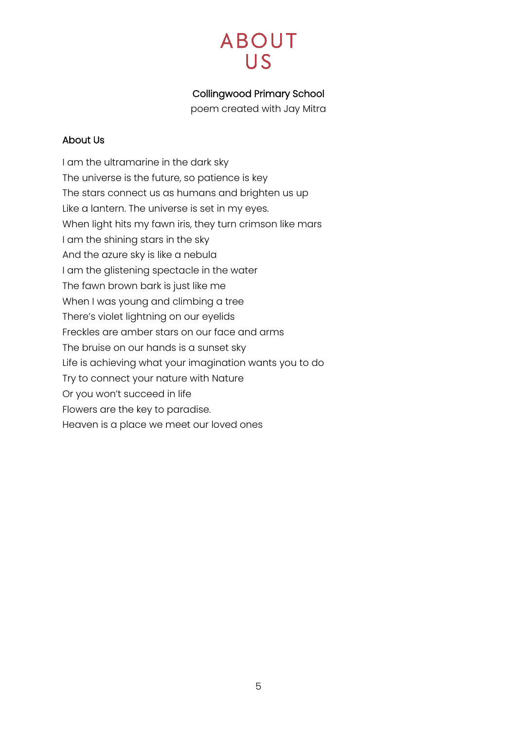## Collingwood Primary School

poem created with Jay Mitra

### <span id="page-4-0"></span>About Us

I am the ultramarine in the dark sky The universe is the future, so patience is key The stars connect us as humans and brighten us up Like a lantern. The universe is set in my eyes. When light hits my fawn iris, they turn crimson like mars I am the shining stars in the sky And the azure sky is like a nebula I am the glistening spectacle in the water The fawn brown bark is just like me When I was young and climbing a tree There's violet lightning on our eyelids Freckles are amber stars on our face and arms The bruise on our hands is a sunset sky Life is achieving what your imagination wants you to do Try to connect your nature with Nature Or you won't succeed in life Flowers are the key to paradise. Heaven is a place we meet our loved ones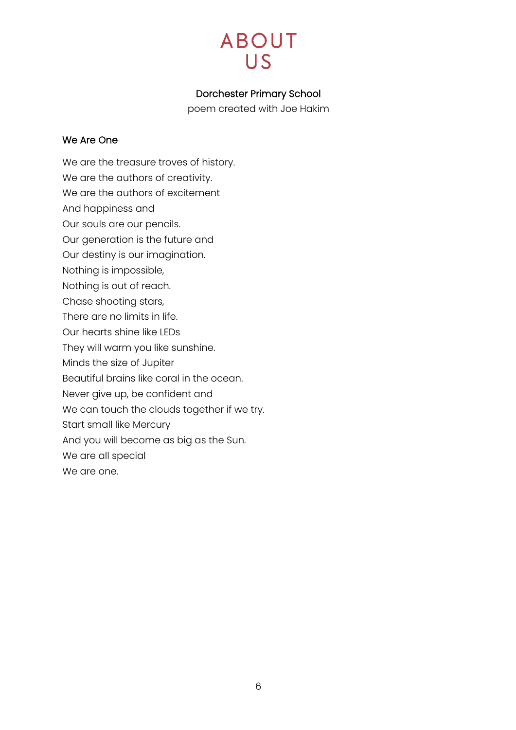## Dorchester Primary School

poem created with Joe Hakim

### <span id="page-5-0"></span>We Are One

We are the treasure troves of history.

- We are the authors of creativity.
- We are the authors of excitement
- And happiness and
- Our souls are our pencils.
- Our generation is the future and
- Our destiny is our imagination.
- Nothing is impossible,
- Nothing is out of reach.
- Chase shooting stars,
- There are no limits in life.
- Our hearts shine like LEDs
- They will warm you like sunshine.
- Minds the size of Jupiter
- Beautiful brains like coral in the ocean.
- Never give up, be confident and
- We can touch the clouds together if we try.
- Start small like Mercury
- And you will become as big as the Sun.
- We are all special
- We are one.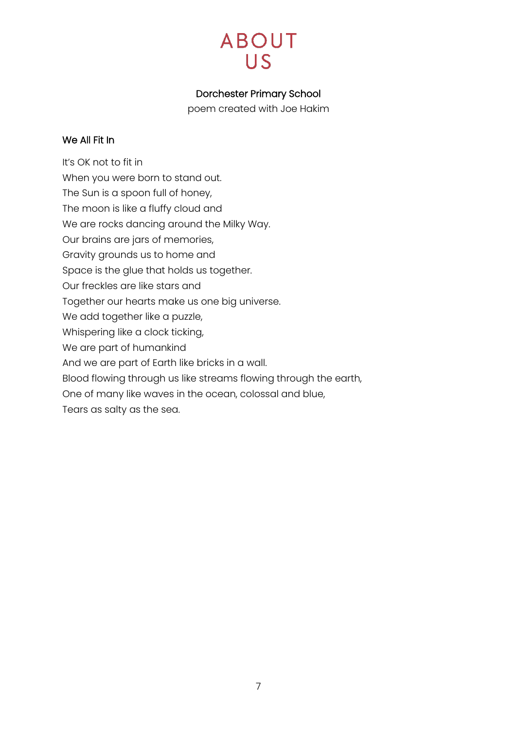## Dorchester Primary School

poem created with Joe Hakim

### <span id="page-6-0"></span>We All Fit In

It's OK not to fit in When you were born to stand out. The Sun is a spoon full of honey, The moon is like a fluffy cloud and We are rocks dancing around the Milky Way. Our brains are jars of memories, Gravity grounds us to home and Space is the glue that holds us together. Our freckles are like stars and Together our hearts make us one big universe. We add together like a puzzle, Whispering like a clock ticking, We are part of humankind And we are part of Earth like bricks in a wall. Blood flowing through us like streams flowing through the earth, One of many like waves in the ocean, colossal and blue,

Tears as salty as the sea.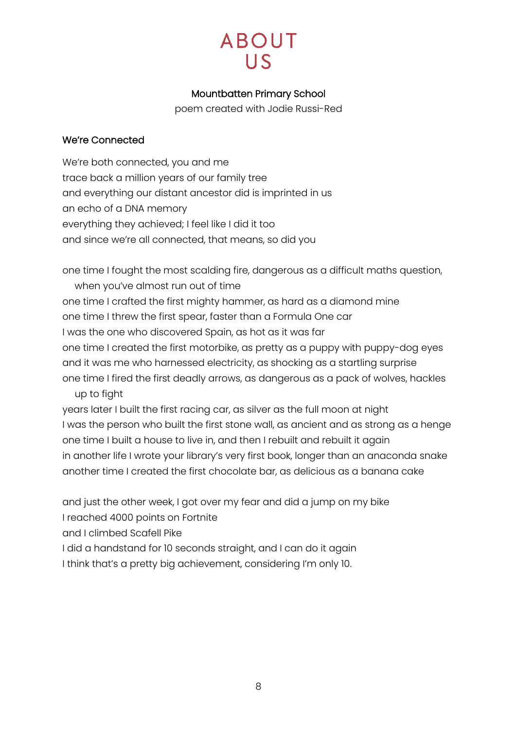## Mountbatten Primary School

poem created with Jodie Russi-Red

## <span id="page-7-0"></span>We're Connected

We're both connected, you and me trace back a million years of our family tree and everything our distant ancestor did is imprinted in us an echo of a DNA memory everything they achieved; I feel like I did it too and since we're all connected, that means, so did you

one time I fought the most scalding fire, dangerous as a difficult maths question, when you've almost run out of time one time I crafted the first mighty hammer, as hard as a diamond mine one time I threw the first spear, faster than a Formula One car I was the one who discovered Spain, as hot as it was far one time I created the first motorbike, as pretty as a puppy with puppy-dog eyes and it was me who harnessed electricity, as shocking as a startling surprise one time I fired the first deadly arrows, as dangerous as a pack of wolves, hackles up to fight

years later I built the first racing car, as silver as the full moon at night I was the person who built the first stone wall, as ancient and as strong as a henge one time I built a house to live in, and then I rebuilt and rebuilt it again in another life I wrote your library's very first book, longer than an anaconda snake another time I created the first chocolate bar, as delicious as a banana cake

and just the other week, I got over my fear and did a jump on my bike

I reached 4000 points on Fortnite

and I climbed Scafell Pike

I did a handstand for 10 seconds straight, and I can do it again

I think that's a pretty big achievement, considering I'm only 10.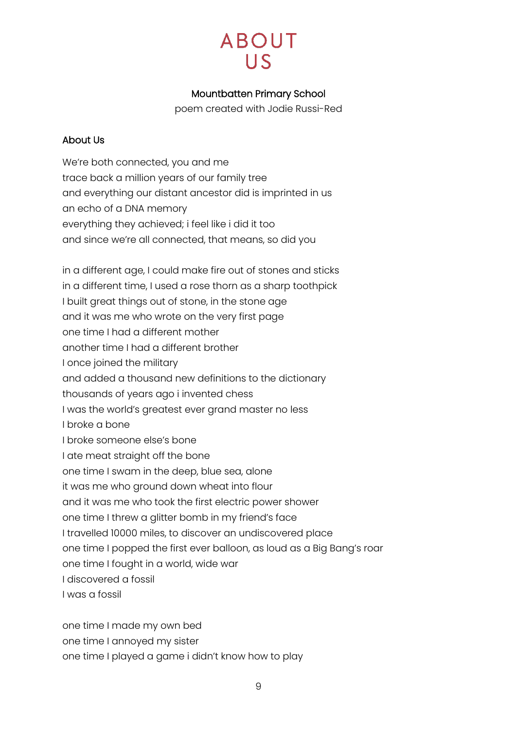# **ABOUT**  $\overline{US}$

## Mountbatten Primary School

poem created with Jodie Russi-Red

### <span id="page-8-0"></span>About Us

We're both connected, you and me trace back a million years of our family tree and everything our distant ancestor did is imprinted in us an echo of a DNA memory everything they achieved; i feel like i did it too and since we're all connected, that means, so did you

in a different age, I could make fire out of stones and sticks in a different time, I used a rose thorn as a sharp toothpick I built great things out of stone, in the stone age and it was me who wrote on the very first page one time I had a different mother another time I had a different brother I once joined the military and added a thousand new definitions to the dictionary thousands of years ago i invented chess I was the world's greatest ever grand master no less I broke a bone I broke someone else's bone I ate meat straight off the bone one time I swam in the deep, blue sea, alone it was me who ground down wheat into flour and it was me who took the first electric power shower one time I threw a glitter bomb in my friend's face I travelled 10000 miles, to discover an undiscovered place one time I popped the first ever balloon, as loud as a Big Bang's roar one time I fought in a world, wide war I discovered a fossil I was a fossil

one time I made my own bed

one time I annoyed my sister

one time I played a game i didn't know how to play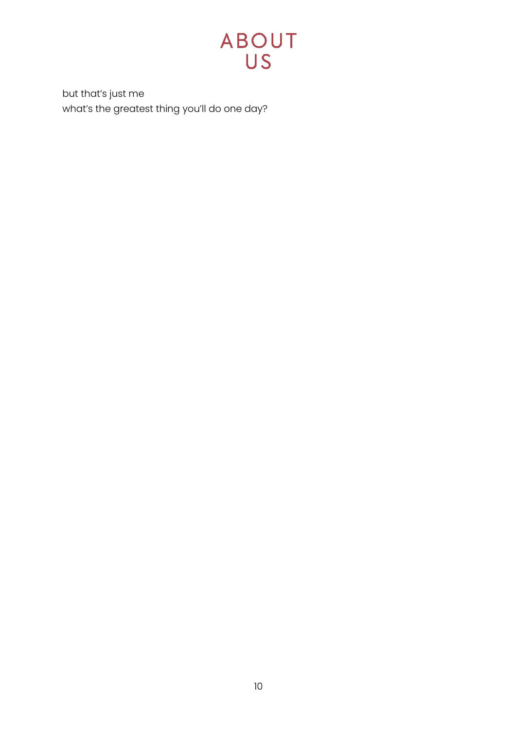

but that's just me what's the greatest thing you'll do one day?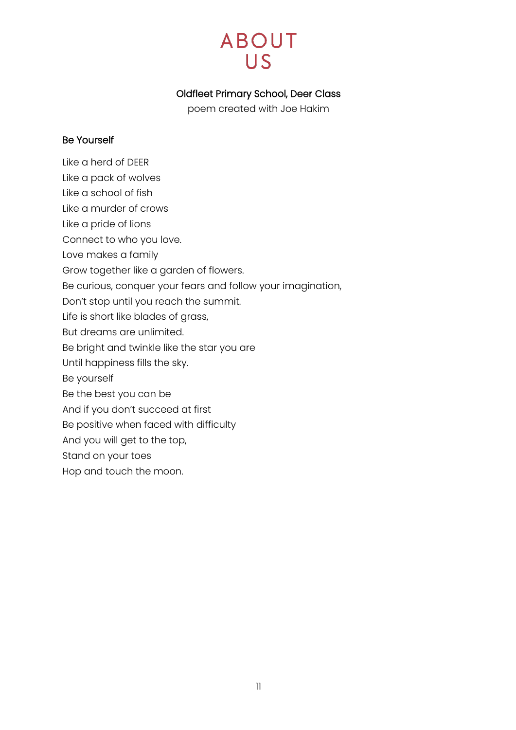## Oldfleet Primary School, Deer Class

poem created with Joe Hakim

### <span id="page-10-0"></span>Be Yourself

- Like a herd of DEER
- Like a pack of wolves
- Like a school of fish
- Like a murder of crows
- Like a pride of lions
- Connect to who you love.
- Love makes a family
- Grow together like a garden of flowers.
- Be curious, conquer your fears and follow your imagination,
- Don't stop until you reach the summit.
- Life is short like blades of grass,
- But dreams are unlimited.
- Be bright and twinkle like the star you are
- Until happiness fills the sky.
- Be yourself
- Be the best you can be
- And if you don't succeed at first
- Be positive when faced with difficulty
- And you will get to the top,
- Stand on your toes
- Hop and touch the moon.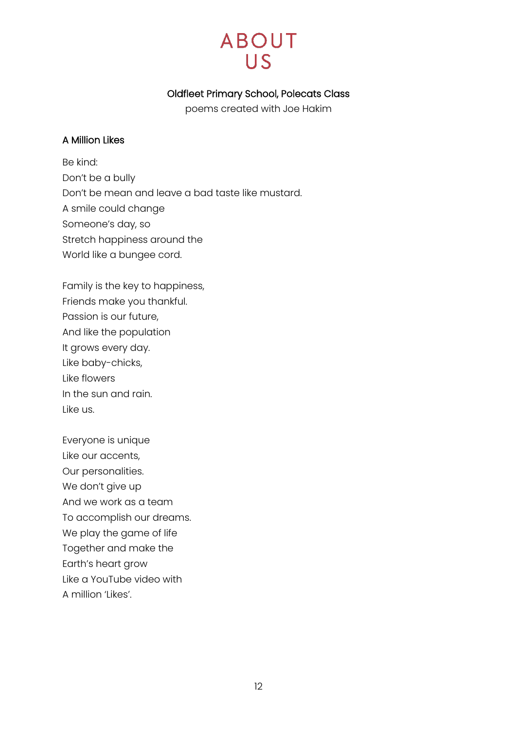## Oldfleet Primary School, Polecats Class

poems created with Joe Hakim

#### <span id="page-11-0"></span>A Million Likes

Be kind: Don't be a bully Don't be mean and leave a bad taste like mustard. A smile could change Someone's day, so Stretch happiness around the World like a bungee cord.

Family is the key to happiness, Friends make you thankful. Passion is our future, And like the population It grows every day. Like baby-chicks, Like flowers In the sun and rain. Like us.

Everyone is unique Like our accents, Our personalities. We don't give up And we work as a team To accomplish our dreams. We play the game of life Together and make the Earth's heart grow Like a YouTube video with A million 'Likes'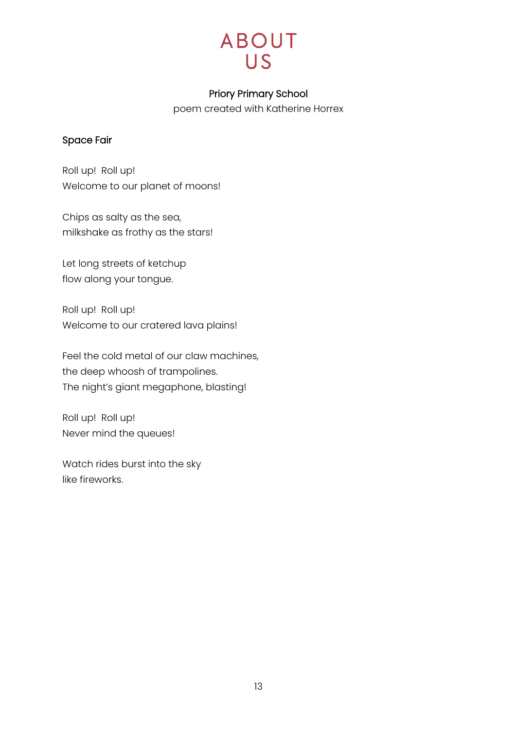

### Priory Primary School

poem created with Katherine Horrex

### <span id="page-12-0"></span>Space Fair

Roll up! Roll up! Welcome to our planet of moons!

Chips as salty as the sea, milkshake as frothy as the stars!

Let long streets of ketchup flow along your tongue.

Roll up! Roll up! Welcome to our cratered lava plains!

Feel the cold metal of our claw machines, the deep whoosh of trampolines. The night's giant megaphone, blasting!

Roll up! Roll up! Never mind the queues!

Watch rides burst into the sky like fireworks.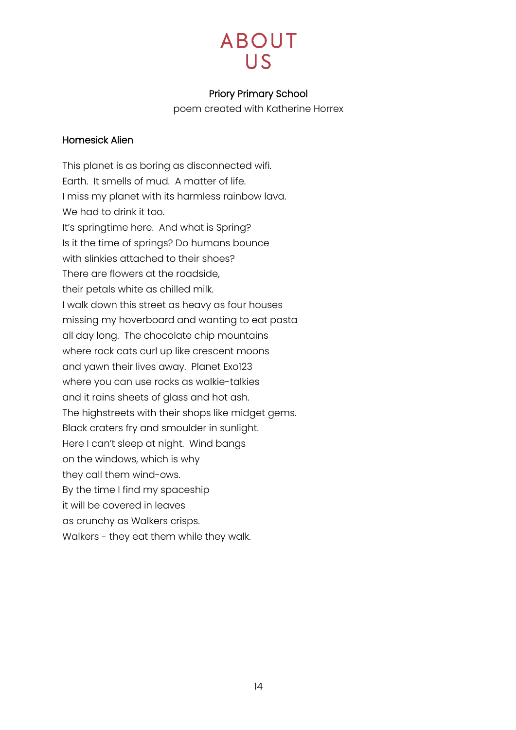## Priory Primary School

poem created with Katherine Horrex

### <span id="page-13-0"></span>Homesick Alien

This planet is as boring as disconnected wifi. Earth. It smells of mud. A matter of life. I miss my planet with its harmless rainbow lava. We had to drink it too. It's springtime here. And what is Spring? Is it the time of springs? Do humans bounce with slinkies attached to their shoes? There are flowers at the roadside, their petals white as chilled milk. I walk down this street as heavy as four houses missing my hoverboard and wanting to eat pasta all day long. The chocolate chip mountains where rock cats curl up like crescent moons and yawn their lives away. Planet Exo123 where you can use rocks as walkie-talkies and it rains sheets of glass and hot ash. The highstreets with their shops like midget gems. Black craters fry and smoulder in sunlight. Here I can't sleep at night. Wind bangs on the windows, which is why they call them wind-ows. By the time I find my spaceship it will be covered in leaves as crunchy as Walkers crisps. Walkers - they eat them while they walk.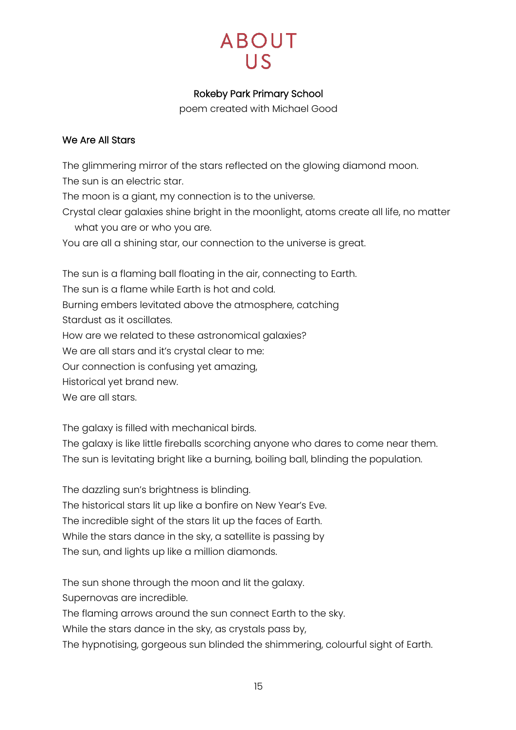# **ABOUT**  $11S$

## Rokeby Park Primary School

poem created with Michael Good

### <span id="page-14-0"></span>We Are All Stars

The glimmering mirror of the stars reflected on the glowing diamond moon. The sun is an electric star. The moon is a giant, my connection is to the universe. Crystal clear galaxies shine bright in the moonlight, atoms create all life, no matter what you are or who you are. You are all a shining star, our connection to the universe is great. The sun is a flaming ball floating in the air, connecting to Earth. The sun is a flame while Earth is hot and cold. Burning embers levitated above the atmosphere, catching Stardust as it oscillates. How are we related to these astronomical galaxies? We are all stars and it's crystal clear to me:

Our connection is confusing yet amazing,

Historical yet brand new.

We are all stars.

The galaxy is filled with mechanical birds.

The galaxy is like little fireballs scorching anyone who dares to come near them. The sun is levitating bright like a burning, boiling ball, blinding the population.

The dazzling sun's brightness is blinding. The historical stars lit up like a bonfire on New Year's Eve. The incredible sight of the stars lit up the faces of Earth. While the stars dance in the sky, a satellite is passing by The sun, and lights up like a million diamonds.

The sun shone through the moon and lit the galaxy.

Supernovas are incredible.

The flaming arrows around the sun connect Earth to the sky.

While the stars dance in the sky, as crystals pass by,

The hypnotising, gorgeous sun blinded the shimmering, colourful sight of Earth.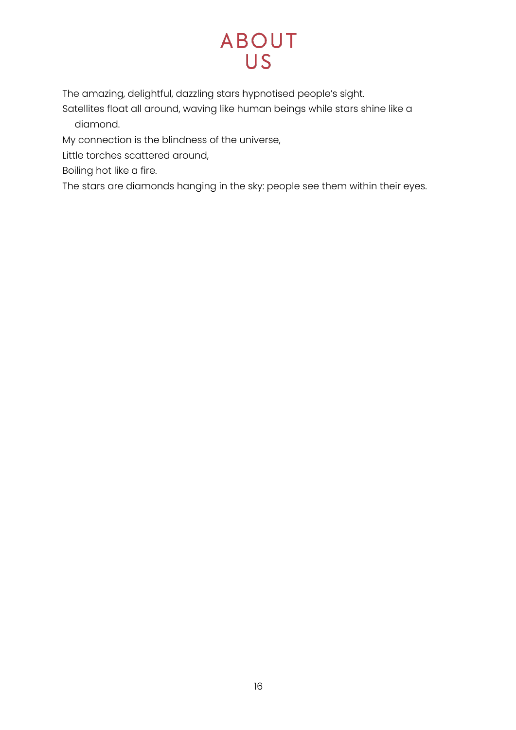# **ABOUT** US<sup></sup>

The amazing, delightful, dazzling stars hypnotised people's sight.

Satellites float all around, waving like human beings while stars shine like a diamond.

My connection is the blindness of the universe,

Little torches scattered around,

Boiling hot like a fire.

The stars are diamonds hanging in the sky: people see them within their eyes.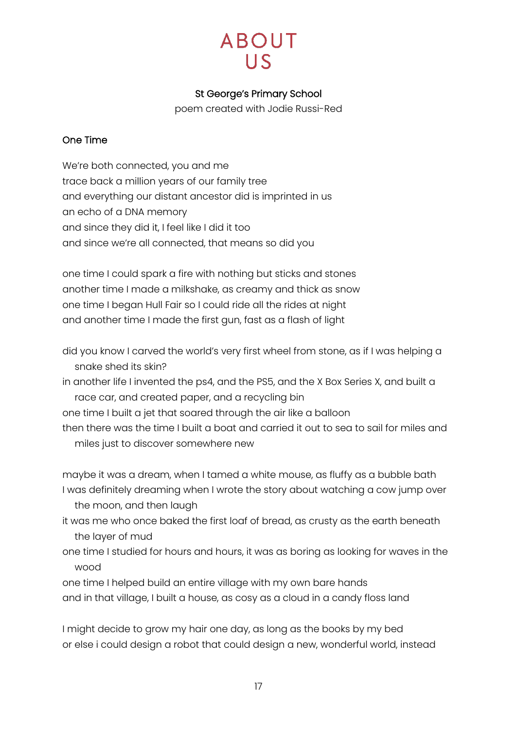## St George's Primary School

poem created with Jodie Russi-Red

## <span id="page-16-0"></span>One Time

We're both connected, you and me trace back a million years of our family tree and everything our distant ancestor did is imprinted in us an echo of a DNA memory and since they did it, I feel like I did it too and since we're all connected, that means so did you

one time I could spark a fire with nothing but sticks and stones another time I made a milkshake, as creamy and thick as snow one time I began Hull Fair so I could ride all the rides at night and another time I made the first gun, fast as a flash of light

- did you know I carved the world's very first wheel from stone, as if I was helping a snake shed its skin?
- in another life I invented the ps4, and the PS5, and the X Box Series X, and built a race car, and created paper, and a recycling bin
- one time I built a jet that soared through the air like a balloon
- then there was the time I built a boat and carried it out to sea to sail for miles and miles just to discover somewhere new

maybe it was a dream, when I tamed a white mouse, as fluffy as a bubble bath I was definitely dreaming when I wrote the story about watching a cow jump over the moon, and then laugh

- it was me who once baked the first loaf of bread, as crusty as the earth beneath the layer of mud
- one time I studied for hours and hours, it was as boring as looking for waves in the wood
- one time I helped build an entire village with my own bare hands and in that village, I built a house, as cosy as a cloud in a candy floss land

I might decide to grow my hair one day, as long as the books by my bed or else i could design a robot that could design a new, wonderful world, instead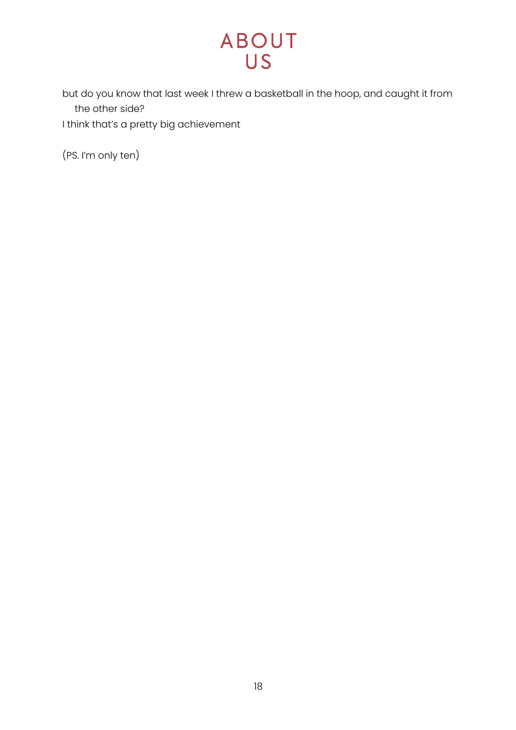but do you know that last week I threw a basketball in the hoop, and caught it from the other side?

I think that's a pretty big achievement

(PS. I'm only ten)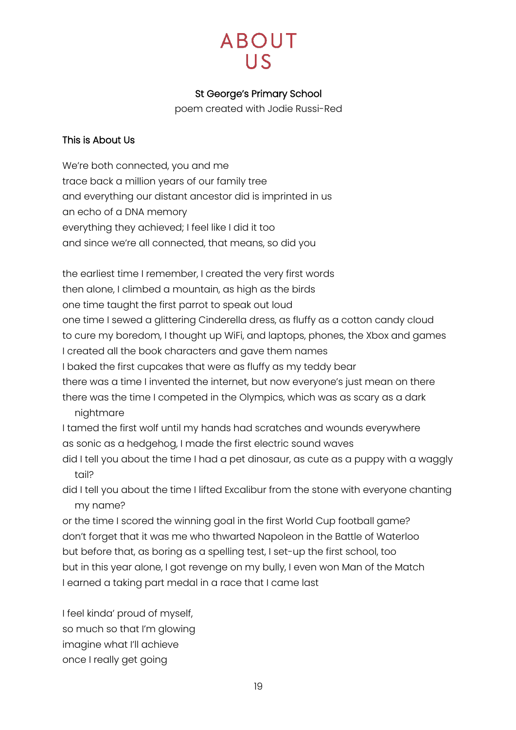## St George's Primary School

poem created with Jodie Russi-Red

### <span id="page-18-0"></span>This is About Us

We're both connected, you and me trace back a million years of our family tree and everything our distant ancestor did is imprinted in us an echo of a DNA memory everything they achieved; I feel like I did it too and since we're all connected, that means, so did you

the earliest time I remember, I created the very first words then alone, I climbed a mountain, as high as the birds one time taught the first parrot to speak out loud one time I sewed a glittering Cinderella dress, as fluffy as a cotton candy cloud to cure my boredom, I thought up WiFi, and laptops, phones, the Xbox and games I created all the book characters and gave them names I baked the first cupcakes that were as fluffy as my teddy bear there was a time I invented the internet, but now everyone's just mean on there there was the time I competed in the Olympics, which was as scary as a dark nightmare I tamed the first wolf until my hands had scratches and wounds everywhere as sonic as a hedgehog, I made the first electric sound waves

did I tell you about the time I had a pet dinosaur, as cute as a puppy with a waggly tail?

did I tell you about the time I lifted Excalibur from the stone with everyone chanting my name?

or the time I scored the winning goal in the first World Cup football game? don't forget that it was me who thwarted Napoleon in the Battle of Waterloo but before that, as boring as a spelling test, I set-up the first school, too but in this year alone, I got revenge on my bully, I even won Man of the Match I earned a taking part medal in a race that I came last

I feel kinda' proud of myself, so much so that I'm glowing imagine what I'll achieve once I really get going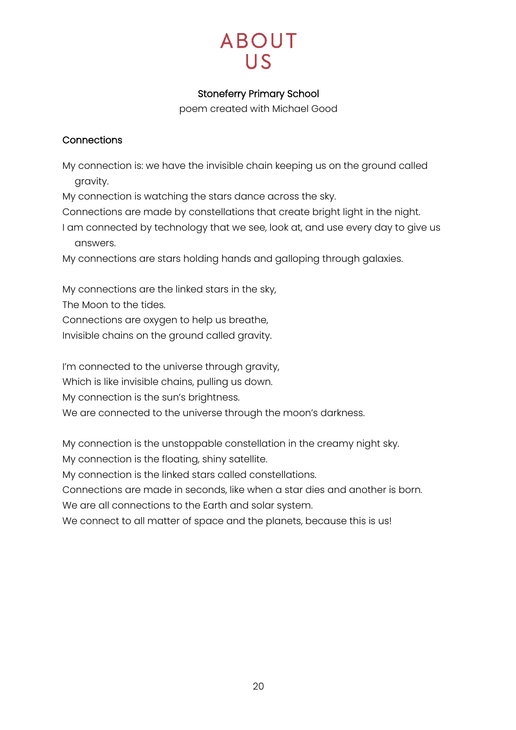# **ABOUT**  $11S$

## Stoneferry Primary School

poem created with Michael Good

## <span id="page-19-0"></span>**Connections**

My connection is: we have the invisible chain keeping us on the ground called gravity.

My connection is watching the stars dance across the sky.

Connections are made by constellations that create bright light in the night. I am connected by technology that we see, look at, and use every day to give us answers.

My connections are stars holding hands and galloping through galaxies.

My connections are the linked stars in the sky,

The Moon to the tides.

Connections are oxygen to help us breathe,

Invisible chains on the ground called gravity.

I'm connected to the universe through gravity,

Which is like invisible chains, pulling us down.

My connection is the sun's brightness.

We are connected to the universe through the moon's darkness.

My connection is the unstoppable constellation in the creamy night sky.

My connection is the floating, shiny satellite.

My connection is the linked stars called constellations.

Connections are made in seconds, like when a star dies and another is born.

We are all connections to the Earth and solar system.

We connect to all matter of space and the planets, because this is us!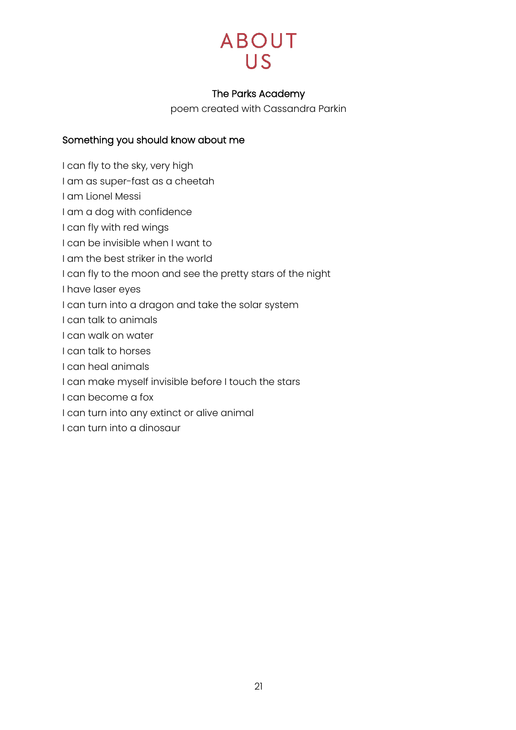

### The Parks Academy

poem created with Cassandra Parkin

# <span id="page-20-0"></span>Something you should know about me

- I can fly to the sky, very high
- I am as super-fast as a cheetah
- I am Lionel Messi
- I am a dog with confidence
- I can fly with red wings
- I can be invisible when I want to
- I am the best striker in the world
- I can fly to the moon and see the pretty stars of the night
- I have laser eyes
- I can turn into a dragon and take the solar system
- I can talk to animals
- I can walk on water
- I can talk to horses
- I can heal animals
- I can make myself invisible before I touch the stars
- I can become a fox
- I can turn into any extinct or alive animal
- I can turn into a dinosaur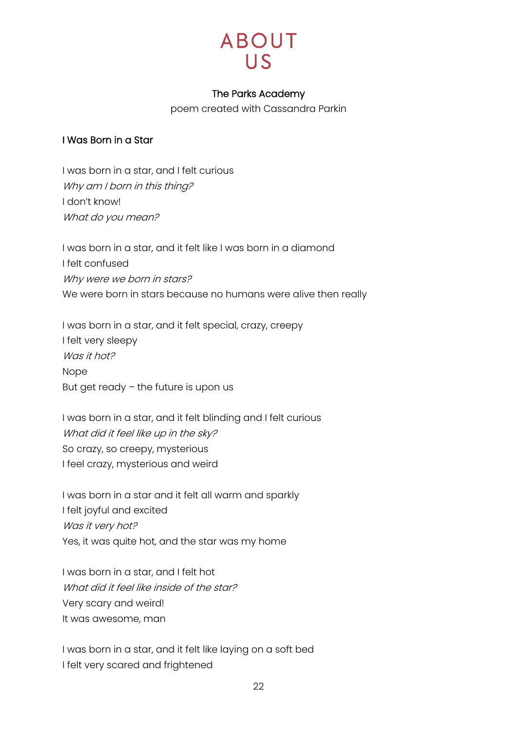

### The Parks Academy

poem created with Cassandra Parkin

### <span id="page-21-0"></span>I Was Born in a Star

I was born in a star, and I felt curious Why am I born in this thing? I don't know! What do you mean?

I was born in a star, and it felt like I was born in a diamond I felt confused Why were we born in stars? We were born in stars because no humans were alive then really

I was born in a star, and it felt special, crazy, creepy I felt very sleepy Was it hot? Nope But get ready – the future is upon us

I was born in a star, and it felt blinding and I felt curious What did it feel like up in the sky? So crazy, so creepy, mysterious I feel crazy, mysterious and weird

I was born in a star and it felt all warm and sparkly I felt joyful and excited Was it very hot? Yes, it was quite hot, and the star was my home

I was born in a star, and I felt hot What did it feel like inside of the star? Very scary and weird! It was awesome, man

I was born in a star, and it felt like laying on a soft bed I felt very scared and frightened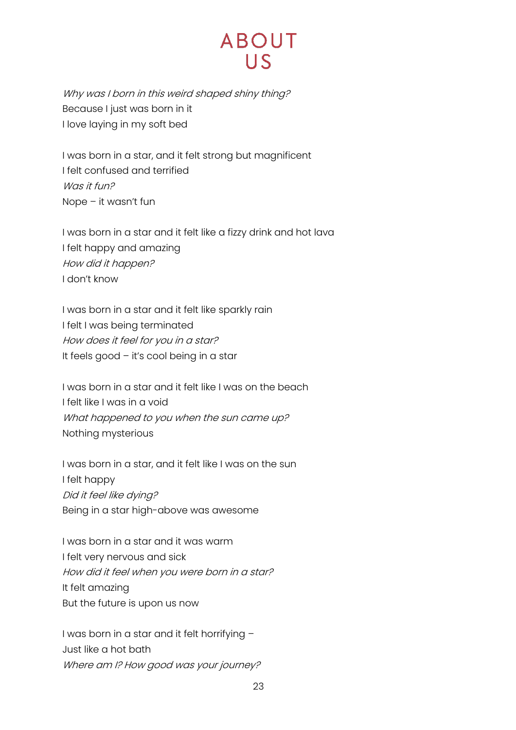# **ABOUT**  $\overline{\mathsf{L}}$

Why was I born in this weird shaped shiny thing? Because I just was born in it I love laying in my soft bed

I was born in a star, and it felt strong but magnificent I felt confused and terrified Was it fun? Nope – it wasn't fun

I was born in a star and it felt like a fizzy drink and hot lava I felt happy and amazing How did it happen? I don't know

I was born in a star and it felt like sparkly rain I felt I was being terminated How does it feel for you in a star? It feels good – it's cool being in a star

I was born in a star and it felt like I was on the beach I felt like I was in a void What happened to you when the sun came up? Nothing mysterious

I was born in a star, and it felt like I was on the sun I felt happy Did it feel like dying? Being in a star high-above was awesome

I was born in a star and it was warm I felt very nervous and sick How did it feel when you were born in a star? It felt amazing But the future is upon us now

I was born in a star and it felt horrifying – Just like a hot bath Where am I? How good was your journey?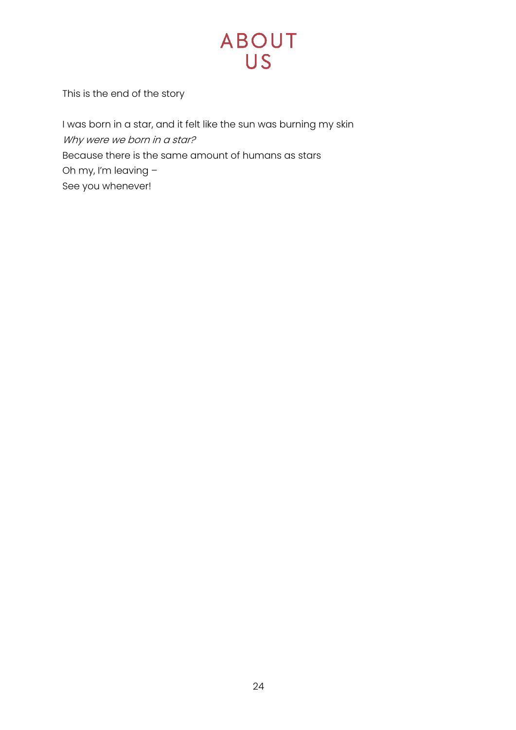This is the end of the story

I was born in a star, and it felt like the sun was burning my skin Why were we born in a star? Because there is the same amount of humans as stars Oh my, I'm leaving – See you whenever!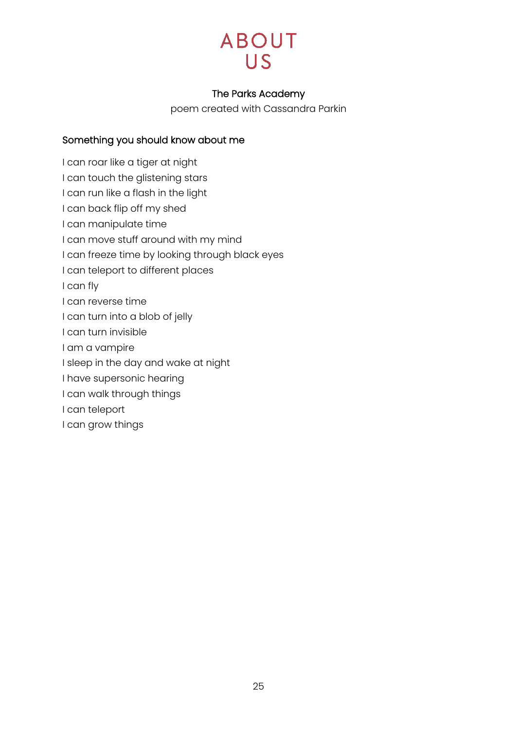

### The Parks Academy

poem created with Cassandra Parkin

## <span id="page-24-0"></span>Something you should know about me

I can roar like a tiger at night I can touch the glistening stars I can run like a flash in the light I can back flip off my shed I can manipulate time I can move stuff around with my mind I can freeze time by looking through black eyes I can teleport to different places I can fly I can reverse time I can turn into a blob of jelly I can turn invisible I am a vampire I sleep in the day and wake at night I have supersonic hearing I can walk through things I can teleport I can grow things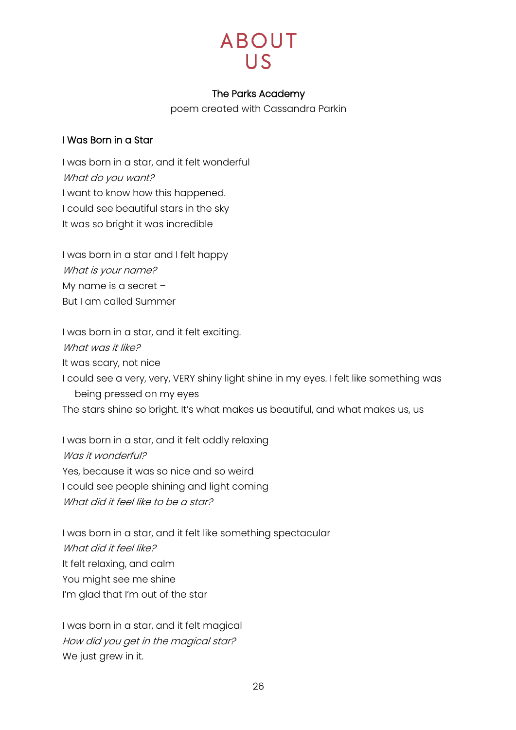

### The Parks Academy

poem created with Cassandra Parkin

### <span id="page-25-0"></span>I Was Born in a Star

I was born in a star, and it felt wonderful What do you want? I want to know how this happened. I could see beautiful stars in the sky It was so bright it was incredible

I was born in a star and I felt happy What is your name? My name is a secret – But I am called Summer

I was born in a star, and it felt exciting. What was it like? It was scary, not nice I could see a very, very, VERY shiny light shine in my eyes. I felt like something was being pressed on my eyes The stars shine so bright. It's what makes us beautiful, and what makes us, us

I was born in a star, and it felt oddly relaxing Was it wonderful? Yes, because it was so nice and so weird I could see people shining and light coming What did it feel like to be a star?

I was born in a star, and it felt like something spectacular What did it feel like? It felt relaxing, and calm You might see me shine I'm glad that I'm out of the star

I was born in a star, and it felt magical How did you get in the magical star? We just grew in it.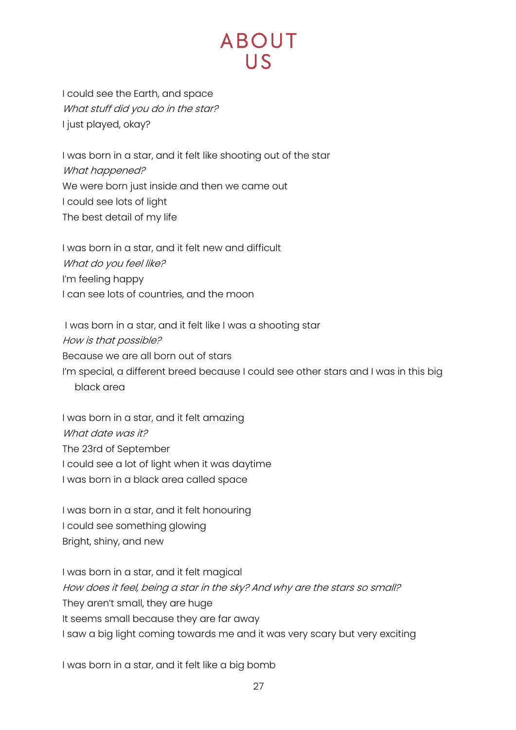I could see the Earth, and space What stuff did you do in the star? I just played, okay?

I was born in a star, and it felt like shooting out of the star What happened? We were born just inside and then we came out I could see lots of light The best detail of my life

I was born in a star, and it felt new and difficult What do you feel like? I'm feeling happy I can see lots of countries, and the moon

I was born in a star, and it felt like I was a shooting star How is that possible? Because we are all born out of stars I'm special, a different breed because I could see other stars and I was in this big black area

I was born in a star, and it felt amazing What date was it? The 23rd of September I could see a lot of light when it was daytime I was born in a black area called space

I was born in a star, and it felt honouring I could see something glowing Bright, shiny, and new

I was born in a star, and it felt magical How does it feel, being a star in the sky? And why are the stars so small? They aren't small, they are huge It seems small because they are far away I saw a big light coming towards me and it was very scary but very exciting

I was born in a star, and it felt like a big bomb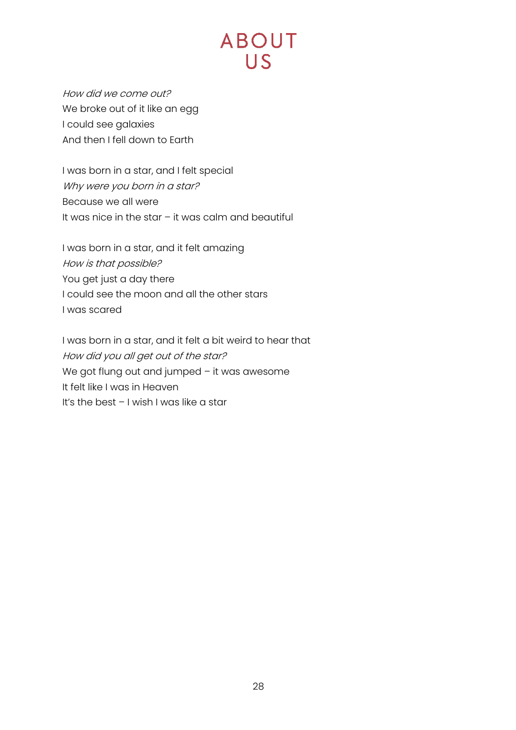How did we come out? We broke out of it like an egg I could see galaxies And then I fell down to Earth

I was born in a star, and I felt special Why were you born in a star? Because we all were It was nice in the star – it was calm and beautiful

I was born in a star, and it felt amazing How is that possible? You get just a day there I could see the moon and all the other stars I was scared

I was born in a star, and it felt a bit weird to hear that How did you all get out of the star? We got flung out and jumped - it was awesome It felt like I was in Heaven It's the best – I wish I was like a star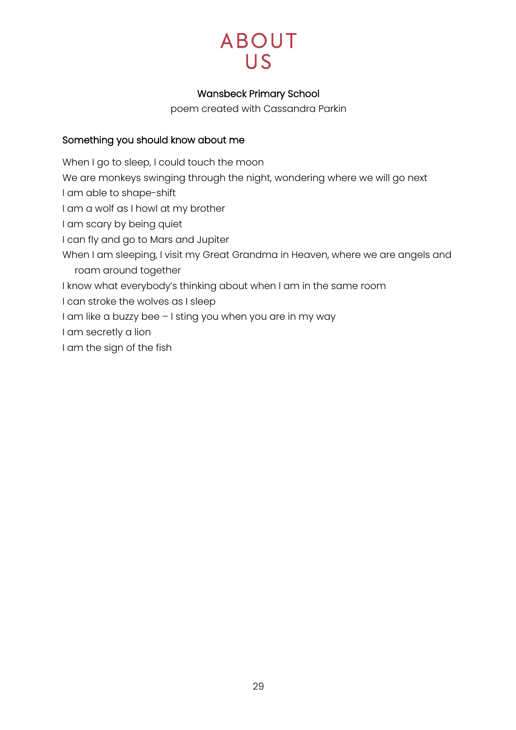

## Wansbeck Primary School

poem created with Cassandra Parkin

## <span id="page-28-0"></span>Something you should know about me

When I go to sleep, I could touch the moon We are monkeys swinging through the night, wondering where we will go next I am able to shape-shift I am a wolf as I howl at my brother I am scary by being quiet I can fly and go to Mars and Jupiter When I am sleeping, I visit my Great Grandma in Heaven, where we are angels and roam around together I know what everybody's thinking about when I am in the same room I can stroke the wolves as I sleep I am like a buzzy bee – I sting you when you are in my way

I am secretly a lion

I am the sign of the fish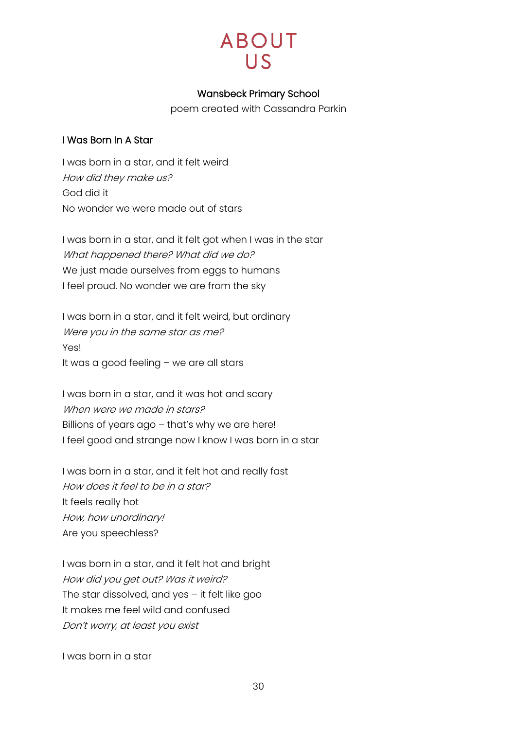# **ABOUT**  $\overline{\mathsf{L}}$

## Wansbeck Primary School

poem created with Cassandra Parkin

### <span id="page-29-0"></span>I Was Born In A Star

I was born in a star, and it felt weird How did they make us? God did it No wonder we were made out of stars

I was born in a star, and it felt got when I was in the star What happened there? What did we do? We just made ourselves from eggs to humans I feel proud. No wonder we are from the sky

I was born in a star, and it felt weird, but ordinary Were you in the same star as me? Yes! It was a good feeling – we are all stars

I was born in a star, and it was hot and scary When were we made in stars? Billions of years ago – that's why we are here! I feel good and strange now I know I was born in a star

I was born in a star, and it felt hot and really fast How does it feel to be in a star? It feels really hot How, how unordinary! Are you speechless?

I was born in a star, and it felt hot and bright How did you get out? Was it weird? The star dissolved, and yes – it felt like goo It makes me feel wild and confused Don't worry, at least you exist

I was born in a star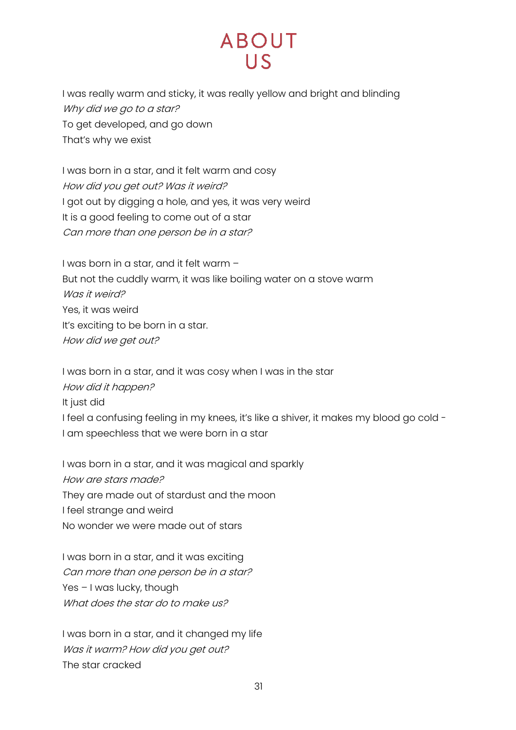# **ABOUT**  $\overline{L}$

I was really warm and sticky, it was really yellow and bright and blinding Why did we go to a star? To get developed, and go down That's why we exist

I was born in a star, and it felt warm and cosy How did you get out? Was it weird? I got out by digging a hole, and yes, it was very weird It is a good feeling to come out of a star Can more than one person be in a star?

I was born in a star, and it felt warm – But not the cuddly warm, it was like boiling water on a stove warm Was it weird? Yes, it was weird It's exciting to be born in a star. How did we get out?

I was born in a star, and it was cosy when I was in the star How did it happen? It just did I feel a confusing feeling in my knees, it's like a shiver, it makes my blood go cold -I am speechless that we were born in a star

I was born in a star, and it was magical and sparkly How are stars made? They are made out of stardust and the moon I feel strange and weird No wonder we were made out of stars

I was born in a star, and it was exciting Can more than one person be in a star? Yes - I was lucky, though What does the star do to make us?

I was born in a star, and it changed my life Was it warm? How did you get out? The star cracked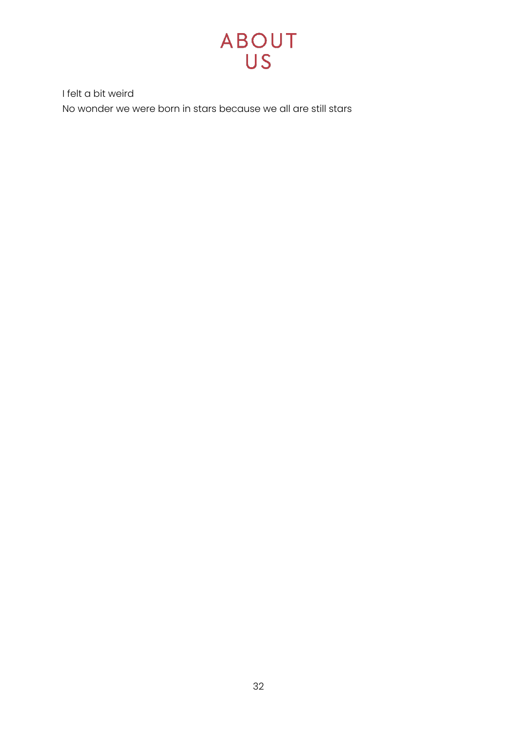

I felt a bit weird No wonder we were born in stars because we all are still stars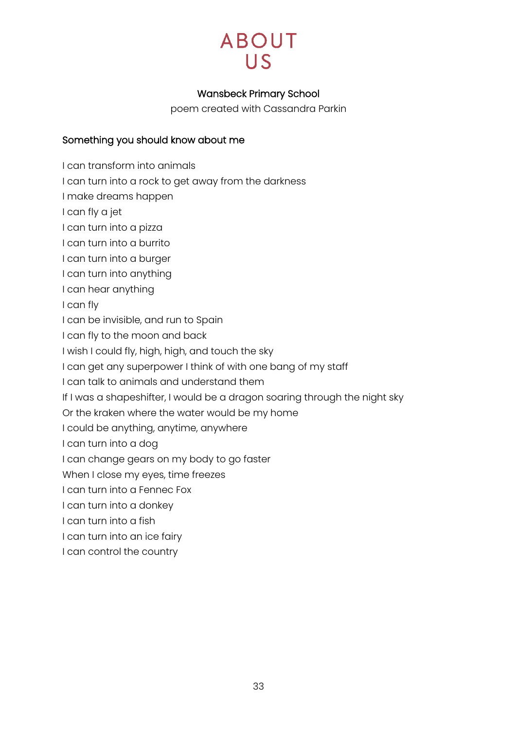

## Wansbeck Primary School

poem created with Cassandra Parkin

### <span id="page-32-0"></span>Something you should know about me

I can transform into animals

I can turn into a rock to get away from the darkness

I make dreams happen

I can fly a jet

I can turn into a pizza

I can turn into a burrito

I can turn into a burger

I can turn into anything

I can hear anything

I can fly

I can be invisible, and run to Spain

I can fly to the moon and back

I wish I could fly, high, high, and touch the sky

I can get any superpower I think of with one bang of my staff

I can talk to animals and understand them

If I was a shapeshifter, I would be a dragon soaring through the night sky

Or the kraken where the water would be my home

I could be anything, anytime, anywhere

I can turn into a dog

I can change gears on my body to go faster

When I close my eyes, time freezes

I can turn into a Fennec Fox

I can turn into a donkey

I can turn into a fish

I can turn into an ice fairy

I can control the country